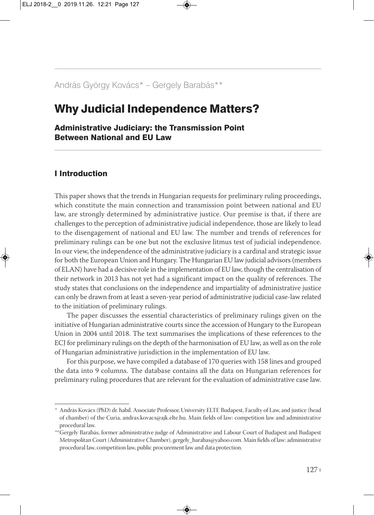# András György Kovács\* — Gergely Barabás\*\*

# Why Judicial Independence Matters?

Administrative Judiciary: the Transmission Point Between National and EU Law

## I Introduction

This paper shows that the trends in Hungarian requests for preliminary ruling proceedings, which constitute the main connection and transmission point between national and EU law, are strongly determined by administrative justice. Our premise is that, if there are challenges to the perception of administrative judicial independence, those are likely to lead to the disengagement of national and EU law. The number and trends of references for preliminary rulings can be one but not the exclusive litmus test of judicial independence. In our view, the independence of the administrative judiciary is a cardinal and strategic issue for both the European Union and Hungary. The Hungarian EU law judicial advisors (members of ELAN) have had a decisive role in the implementation of EU law, though the centralisation of their network in 2013 has not yet had a significant impact on the quality of references. The study states that conclusions on the independence and impartiality of administrative justice can only be drawn from at least a seven-year period of administrative judicial case-law related to the initiation of preliminary rulings.

The paper discusses the essential characteristics of preliminary rulings given on the initiative of Hungarian administrative courts since the accession of Hungary to the European Union in 2004 until 2018. The text summarises the implications of these references to the ECJ for preliminary rulings on the depth of the harmonisation of EU law, as well as on the role of Hungarian administrative jurisdiction in the implementation of EU law.

For this purpose, we have compiled a database of 170 queries with 158 lines and grouped the data into 9 columns. The database contains all the data on Hungarian references for preliminary ruling procedures that are relevant for the evaluation of administrative case law.

*<sup>\*</sup>* András Kovács (PhD) dr. habil. Associate Professor, University ELTE Budapest, Faculty of Law, and justice (head of chamber) of the Curia, andras.kovacs@ajk.elte.hu. Main fields of law: competition law and administrative procedural law.

*<sup>\*\*</sup>* Gergely Barabás, former administrative judge of Administrative and Labour Court of Budapest and Budapest Metropolitan Court (Administrative Chamber), gergely\_barabas@yahoo.com. Main fields of law: administrative procedural law, competition law, public procurement law and data protection.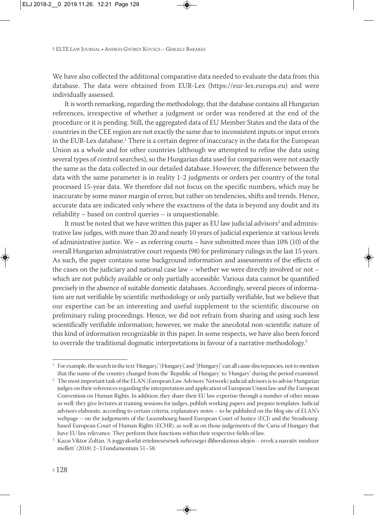We have also collected the additional comparative data needed to evaluate the data from this database. The data were obtained from EUR-Lex (https://eur-lex.europa.eu) and were individually assessed.

It is worth remarking, regarding the methodology, that the database contains all Hungarian references, irrespective of whether a judgment or order was rendered at the end of the procedure or it is pending. Still, the aggregated data of EU Member States and the data of the countries in the CEE region are not exactly the same due to inconsistent inputs or input errors in the EUR-Lex database.<sup>1</sup> There is a certain degree of inaccuracy in the data for the European Union as a whole and for other countries (although we attempted to refine the data using several types of control searches), so the Hungarian data used for comparison were not exactly the same as the data collected in our detailed database. However, the difference between the data with the same parameter is in reality 1-2 judgments or orders per country of the total processed 15-year data. We therefore did not focus on the specific numbers, which may be inaccurate by some minor margin of error, but rather on tendencies, shifts and trends. Hence, accurate data are indicated only where the exactness of the data is beyond any doubt and its reliability – based on control queries – is unquestionable.

It must be noted that we have written this paper as EU law judicial advisors<sup>2</sup> and administrative law judges, with more than 20 and nearly 10 years of judicial experience at various levels of administrative justice. We – as referring courts – have submitted more than  $10\%$  (10) of the overall Hungarian administrative court requests (98) for preliminary rulings in the last 15 years. As such, the paper contains some background information and assessments of the effects of the cases on the judiciary and national case law – whether we were directly involved or not – which are not publicly available or only partially accessible. Various data cannot be quantified precisely in the absence of suitable domestic databases. Accordingly, several pieces of informa tion are not verifiable by scientific methodology or only partially verifiable, but we believe that our expertise can be an interesting and useful supplement to the scientific discourse on preliminary ruling proceedings. Hence, we did not refrain from sharing and using such less scientifically verifiable information; however, we make the anecdotal non-scientific nature of this kind of information recognizable in this paper. In some respects, we have also been forced to override the traditional dogmatic interpretations in favour of a narrative methodology.<sup>3</sup>

<sup>&</sup>lt;sup>1</sup> For example, the search in the text 'Hungary', '(Hungary)', and '[Hungary]' can all cause discrepancies, not to mention that the name of the country changed from the 'Republic of Hungary' to 'Hungary' during the period examined.

<sup>&</sup>lt;sup>2</sup> The most important task of the ELAN (European Law Advisors' Network) judicial advisors is to advise Hungarian judges on their references regarding the interpretation and application of European Union law and the European Convention on Human Rights. In addition, they share their EU law expertise through a number of other means as well: they give lectures at training sessions for judges, publish working papers and prepare templates. Judicial advisors elaborate, according to certain criteria, explanatory notes – to be published on the blog site of ELAN's webpage – on the judgements of the Luxembourg-based European Court of Justice (ECJ) and the Strasbourgbased European Court of Human Rights (ECHR), as well as on those judgements of the Curia of Hungary that have EU law relevance. They perform their functions within their respective fields of law.

<sup>3</sup> Kazai Viktor Zoltán, 'A joggyakorlat értelmezésének nehézségei illiberalizmus idején – érvek a narratív módszer mellett' (2018) 2–3 Fundamentum 51–58.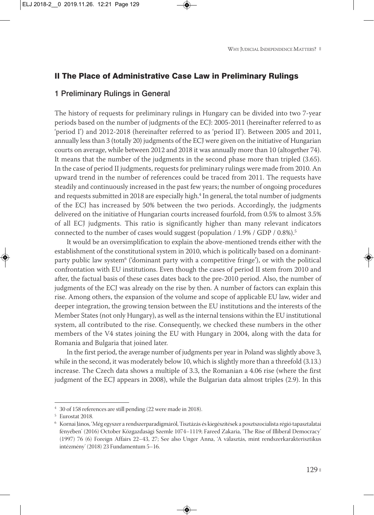#### II The Place of Administrative Case Law in Preliminary Rulings

#### 1 Preliminary Rulings in General

The history of requests for preliminary rulings in Hungary can be divided into two 7-year periods based on the number of judgments of the ECJ: 2005-2011 (hereinafter referred to as 'period I') and 2012-2018 (hereinafter referred to as 'period II'). Between 2005 and 2011, annually less than 3 (totally 20) judgments of the ECJ were given on the initiative of Hungarian courts on average, while between 2012 and 2018 it was annually more than 10 (altogether 74). It means that the number of the judgments in the second phase more than tripled (3.65). In the case of period II judgments, requests for preliminary rulings were made from 2010. An upward trend in the number of references could be traced from 2011. The requests have steadily and continuously increased in the past few years; the number of ongoing procedures and requests submitted in 2018 are especially high.<sup>4</sup> In general, the total number of judgments of the ECJ has increased by 50% between the two periods. Accordingly, the judgments delivered on the initiative of Hungarian courts increased fourfold, from 0.5% to almost 3.5% of all ECJ judgments. This ratio is significantly higher than many relevant indicators connected to the number of cases would suggest (population / 1.9% / GDP / 0.8%).<sup>5</sup>

It would be an oversimplification to explain the above-mentioned trends either with the establishment of the constitutional system in 2010, which is politically based on a dominantparty public law system<sup>6</sup> ('dominant party with a competitive fringe'), or with the political confrontation with EU institutions. Even though the cases of period II stem from 2010 and after, the factual basis of these cases dates back to the pre-2010 period. Also, the number of judgments of the ECJ was already on the rise by then. A number of factors can explain this rise. Among others, the expansion of the volume and scope of applicable EU law, wider and deeper integration, the growing tension between the EU institutions and the interests of the Member States (not only Hungary), as well as the internal tensions within the EU institutional system, all contributed to the rise. Consequently, we checked these numbers in the other members of the V4 states joining the EU with Hungary in 2004, along with the data for Romania and Bulgaria that joined later.

In the first period, the average number of judgments per year in Poland was slightly above 3, while in the second, it was moderately below 10, which is slightly more than a threefold (3.13.) increase. The Czech data shows a multiple of 3.3, the Romanian a 4.06 rise (where the first judgment of the ECJ appears in 2008), while the Bulgarian data almost triples (2.9). In this

<sup>4</sup> 30 of 158 references are still pending (22 were made in 2018).

<sup>5</sup> Eurostat 2018.

<sup>6</sup> Kornai János, 'Még egyszer a rendszerparadigmáról, Tisztázás és kiegészítések a posztszocialista régió tapasztalatai fényében' (2016) October Közgazdasági Szemle 1074–1119; Fareed Zakaria, 'The Rise of Illiberal Democracy' (1997) 76 (6) Foreign Affairs 22–43, 27; See also Unger Anna, 'A választás, mint rendszerkarakterisztikus intézmény' (2018) 23 Fundamentum 5–16.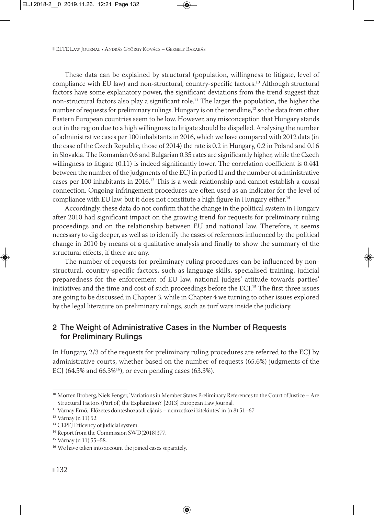These data can be explained by structural (population, willingness to litigate, level of compliance with EU law) and non-structural, country-specific factors.<sup>10</sup> Although structural factors have some explanatory power, the significant deviations from the trend suggest that non-structural factors also play a significant role.11 The larger the population, the higher the number of requests for preliminary rulings. Hungary is on the trendline,<sup>12</sup> so the data from other Eastern European countries seem to be low. However, any misconception that Hungary stands out in the region due to a high willingness to litigate should be dispelled. Analysing the number of administrative cases per 100 inhabitants in 2016, which we have compared with 2012 data (in the case of the Czech Republic, those of 2014) the rate is 0.2 in Hungary, 0.2 in Poland and 0.16 in Slovakia. The Romanian 0.6 and Bulgarian 0.35 rates are significantly higher, while the Czech willingness to litigate (0.11) is indeed significantly lower. The correlation coefficient is 0.441 between the number of the judgments of the ECJ in period II and the number of administrative cases per 100 inhabitants in 2016.13 This is a weak relationship and cannot establish a causal connection. Ongoing infringement procedures are often used as an indicator for the level of compliance with EU law, but it does not constitute a high figure in Hungary either.<sup>14</sup>

Accordingly, these data do not confirm that the change in the political system in Hungary after 2010 had significant impact on the growing trend for requests for preliminary ruling proceedings and on the relationship between EU and national law. Therefore, it seems necessary to dig deeper, as well as to identify the cases of references influenced by the political change in 2010 by means of a qualitative analysis and finally to show the summary of the structural effects, if there are any.

The number of requests for preliminary ruling procedures can be influenced by nonstructural, country-specific factors, such as language skills, specialised training, judicial preparedness for the enforcement of EU law, national judges' attitude towards parties' initiatives and the time and cost of such proceedings before the ECJ.15 The first three issues are going to be discussed in Chapter 3, while in Chapter 4 we turning to other issues explored by the legal literature on preliminary rulings, such as turf wars inside the judiciary.

## 2 The Weight of Administrative Cases in the Number of Requests for Preliminary Rulings

In Hungary, 2/3 of the requests for preliminary ruling procedures are referred to the ECJ by administrative courts, whether based on the number of requests (65.6%) judgments of the ECJ (64.5% and 66.3%<sup>16</sup>), or even pending cases (63.3%).

<sup>10</sup> Morten Broberg, Niels Fenger, 'Variations in Member States Preliminary References to the Court of Justice – Are Structural Factors (Part of) the Explanation?' [2013] European Law Journal.

<sup>11</sup> Várnay Ernő, 'Előzetes döntéshozatali eljárás – nemzetközi kitekintés' in (n 8) 51–67.

<sup>12</sup> Várnay (n 11) 52.

<sup>&</sup>lt;sup>13</sup> CEPEJ Efficency of judicial system.

<sup>&</sup>lt;sup>14</sup> Report from the Commission SWD(2018)377.

<sup>15</sup> Várnay (n 11) 55–58.

<sup>16</sup> We have taken into account the joined cases separately.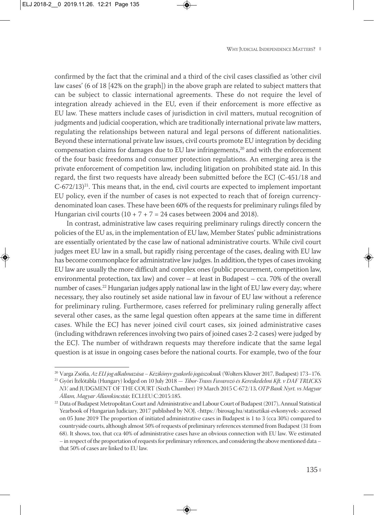confirmed by the fact that the criminal and a third of the civil cases classified as 'other civil law cases' (6 of 18 [42% on the graph]) in the above graph are related to subject matters that can be subject to classic international agreements. These do not require the level of integration already achieved in the EU, even if their enforcement is more effective as EU law. These matters include cases of jurisdiction in civil matters, mutual recognition of judgments and judicial cooperation, which are traditionally international private law matters, regulating the relationships between natural and legal persons of different nationalities. Beyond these international private law issues, civil courts promote EU integration by deciding compensation claims for damages due to EU law infringements,<sup>20</sup> and with the enforcement of the four basic freedoms and consumer protection regulations. An emerging area is the private enforcement of competition law, including litigation on prohibited state aid. In this regard, the first two requests have already been submitted before the ECJ (C-451/18 and  $C$ -672/13)<sup>21</sup>. This means that, in the end, civil courts are expected to implement important EU policy, even if the number of cases is not expected to reach that of foreign currencydenominated loan cases. These have been 60% of the requests for preliminary rulings filed by Hungarian civil courts  $(10 + 7 + 7 = 24$  cases between 2004 and 2018).

In contrast, administrative law cases requiring preliminary rulings directly concern the policies of the EU as, in the implementation of EU law, Member States' public administrations are essentially orientated by the case law of national administrative courts. While civil court judges meet EU law in a small, but rapidly rising percentage of the cases, dealing with EU law has become commonplace for administrative law judges. In addition, the types of cases invoking EU law are usually the more difficult and complex ones (public procurement, competition law, environmental protection, tax law) and cover – at least in Budapest – cca. 70% of the overall number of cases.22 Hungarian judges apply national law in the light of EU law every day; where necessary, they also routinely set aside national law in favour of EU law without a reference for preliminary ruling. Furthermore, cases referred for preliminary ruling generally affect several other cases, as the same legal question often appears at the same time in different cases. While the ECJ has never joined civil court cases, six joined administrative cases (including withdrawn references involving two pairs of joined cases 2-2 cases) were judged by the ECJ. The number of withdrawn requests may therefore indicate that the same legal question is at issue in ongoing cases before the national courts. For example, two of the four

<sup>20</sup> Varga Zsófia, *Az EU jog alkalmazása – Kézikönyv gyakorló jogászoknak* (Wolters Kluwer 2017, Budapest) 173–176. <sup>21</sup> Győri Ítélőtábla (Hungary) lodged on 10 July 2018 — *Tibor-Trans Fuvarozó és Kereskedelmi Kft. v DAF TRUCKS N.V.* and JUDGMENT OF THE COURT (Sixth Chamber) 19 March 2015 C-672/13, *OTP Bank Nyrt. vs Magyar Állam, Magyar Államkincstár,* ECLI:EU:C:2015:185.

 $22$  Data of Budapest Metropolitan Court and Administrative and Labour Court of Budapest (2017), Annual Statistical Yearbook of Hungarian Judiciary, 2017 published by NOJ, <https://birosag.hu/statisztikai-evkonyvek> accessed on 05 June 2019 The proportion of initiated administrative cases in Budapest is 1 to 3 (cca 30%) compared to countryside courts, although almost 50% of requests of preliminary references stemmed from Budapest (31 from 68). It shows, too, that cca 40% of administrative cases have an obvious connection with EU law. We estimated – in respect of the proportation of requests for preliminary references, and considering the above mentioned data – that 50% of cases are linked to EU law.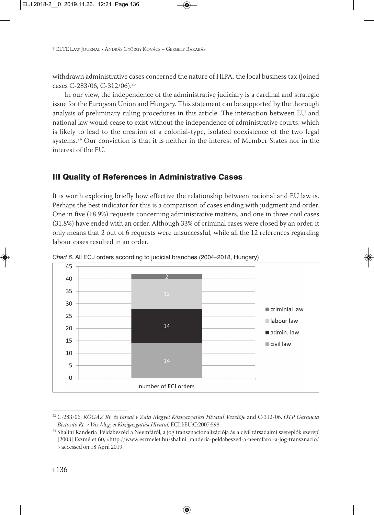withdrawn administrative cases concerned the nature of HIPA, the local business tax (joined cases C-283/06, C-312/06).23

In our view, the independence of the administrative judiciary is a cardinal and strategic issue for the European Union and Hungary. This statement can be supported by the thorough analysis of preliminary ruling procedures in this article. The interaction between EU and national law would cease to exist without the independence of administrative courts, which is likely to lead to the creation of a colonial-type, isolated coexistence of the two legal systems.<sup>24</sup> Our conviction is that it is neither in the interest of Member States nor in the interest of the EU.

# III Quality of References in Administrative Cases

It is worth exploring briefly how effective the relationship between national and EU law is. Perhaps the best indicator for this is a comparison of cases ending with judgment and order. One in five (18.9%) requests concerning administrative matters, and one in three civil cases (31.8%) have ended with an order. Although 33% of criminal cases were closed by an order, it only means that 2 out of 6 requests were unsuccessful, while all the 12 references regarding labour cases resulted in an order.

*Chart 6.* All ECJ orders according to judicial branches (2004—2018, Hungary)

<sup>23</sup> C-283/06, *KÖGÁZ Rt. és társai v Zala Megyei Közigazgatási Hivatal Vezetője* and C-312/06, *OTP Garancia Biztosító Rt. v Vas Megyei Közigazgatási Hivatal,* ECLI:EU:C:2007:598.

<sup>24</sup> Shalini Randeria 'Példabeszéd a Neemfáról, a jog transznacionalizációja ás a civil társadalmi szereplők szerep' [2003] Eszmélet 60, <http://www.eszmelet.hu/shalini\_randeria-peldabeszed-a-neemfarol-a-jog-transznacio/ > accessed on 18 April 2019.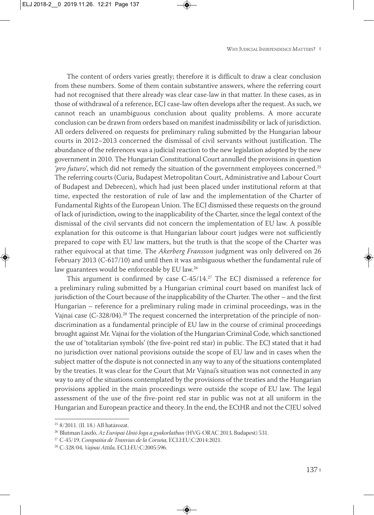The content of orders varies greatly; therefore it is difficult to draw a clear conclusion from these numbers. Some of them contain substantive answers, where the referring court had not recognised that there already was clear case-law in that matter. In these cases, as in those of withdrawal of a reference, ECJ case-law often develops after the request. As such, we cannot reach an unambiguous conclusion about quality problems. A more accurate conclusion can be drawn from orders based on manifest inadmissibility or lack of jurisdiction. All orders delivered on requests for preliminary ruling submitted by the Hungarian labour courts in 2012–2013 concerned the dismissal of civil servants without justification. The abundance of the references was a judicial reaction to the new legislation adopted by the new government in 2010. The Hungarian Constitutional Court annulled the provisions in question *'pro futuro'*, which did not remedy the situation of the government employees concerned.25 The referring courts (Curia, Budapest Metropolitan Court, Administrative and Labour Court of Budapest and Debrecen), which had just been placed under institutional reform at that time, expected the restoration of rule of law and the implementation of the Charter of Fundamental Rights of the European Union. The ECJ dismissed these requests on the ground of lack of juris diction, owing to the inapplicability of the Charter, since the legal context of the dismissal of the civil servants did not concern the implementation of EU law. A possible explanation for this outcome is that Hungarian labour court judges were not sufficiently prepared to cope with EU law matters, but the truth is that the scope of the Charter was rather equivocal at that time. The *Akerberg Fransson* judgment was only delivered on 26 February 2013 (C-617/10) and until then it was ambiguous whether the fundamental rule of law guarantees would be enforceable by EU law.26

This argument is confirmed by case  $C-45/14$ .<sup>27</sup> The ECJ dismissed a reference for a preliminary ruling submitted by a Hungarian criminal court based on manifest lack of jurisdiction of the Court because of the inapplicability of the Charter. The other – and the first Hungarian – reference for a preliminary ruling made in criminal proceedings, was in the Vajnai case (C-328/04).<sup>28</sup> The request concerned the interpretation of the principle of nondiscrimination as a fundamental principle of EU law in the course of criminal proceedings brought against Mr. Vajnai for the violation of the Hungarian Criminal Code, which sanctioned the use of 'totalitarian symbols' (the five-point red star) in public. The ECJ stated that it had no jurisdiction over national provisions outside the scope of EU law and in cases when the subject matter of the dispute is not connected in any way to any of the situations contemplated by the treaties. It was clear for the Court that Mr Vajnai's situation was not connected in any way to any of the situations contemplated by the provisions of the treaties and the Hungarian provisions applied in the main proceedings were outside the scope of EU law. The legal assessment of the use of the five-point red star in public was not at all uniform in the Hungarian and European practice and theory. In the end, the ECtHR and not the CJEU solved

<sup>25</sup> 8/2011. (II. 18.) AB határozat.

<sup>26</sup> Blutman László, *Az Európai Unió Joga a gyakorlatban* (HVG-ORAC 2013, Budapest) 531.

<sup>27</sup> C-45/19, *Compañía de Tranvías de la Coruña,* ECLI:EU:C:2014:2021.

<sup>28</sup> C-328/04, *Vajnai Attila,* ECLI:EU:C:2005:596.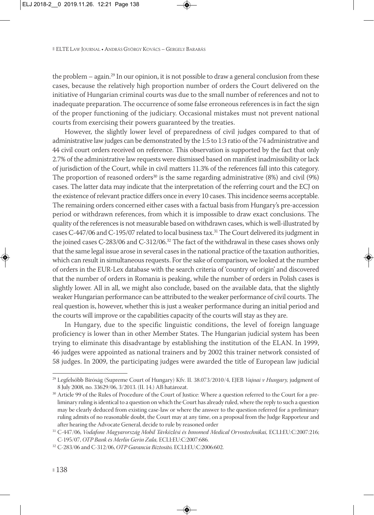the problem  $-$  again.<sup>29</sup> In our opinion, it is not possible to draw a general conclusion from these cases, because the relatively high proportion number of orders the Court delivered on the initiative of Hungarian criminal courts was due to the small number of references and not to inadequate preparation. The occurrence of some false erroneous references is in fact the sign of the proper functioning of the judiciary. Occasional mistakes must not prevent national courts from exercising their powers guaranteed by the treaties.

However, the slightly lower level of preparedness of civil judges compared to that of administrative law judges can be demonstrated by the 1:5 to 1:3 ratio of the 74 administrative and 44 civil court orders received on reference. This observation is supported by the fact that only 2.7% of the administrative law requests were dismissed based on manifest inadmissibility or lack of jurisdiction of the Court, while in civil matters 11.3% of the references fall into this category. The proportion of reasoned orders<sup>30</sup> is the same regarding administrative  $(8%)$  and civil  $(9%)$ cases. The latter data may indicate that the interpretation of the referring court and the ECJ on the existence of relevant practice differs once in every 10 cases. This incidence seems acceptable. The remaining orders concerned either cases with a factual basis from Hungary's pre-accession period or withdrawn references, from which it is impossible to draw exact conclusions. The quality of the references is not measurable based on withdrawn cases, which is well-illustrated by cases C-447/06 and C-195/07 related to local business tax.<sup>31</sup> The Court delivered its judgment in the joined cases C-283/06 and C-312/06.32 The fact of the withdrawal in these cases shows only that the same legal issue arose in several cases in the national practice of the taxation authorities, which can result in simultaneous requests. For the sake of comparison, we looked at the number of orders in the EUR-Lex database with the search criteria of 'country of origin' and discovered that the number of orders in Romania is peaking, while the number of orders in Polish cases is slightly lower. All in all, we might also conclude, based on the available data, that the slightly weaker Hungarian performance can be attributed to the weaker performance of civil courts. The real question is, however, whether this is just a weaker performance during an initial period and the courts will improve or the capabilities capacity of the courts will stay as they are.

In Hungary, due to the specific linguistic conditions, the level of foreign language proficiency is lower than in other Member States. The Hungarian judicial system has been trying to eliminate this disadvantage by establishing the institution of the ELAN. In 1999, 46 judges were appointed as national trainers and by 2002 this trainer network consisted of 58 judges. In 2009, the participating judges were awarded the title of European law judicial

<sup>29</sup> Legfelsőbb Bíróság (Supreme Court of Hungary) Kfv. II. 38.073/2010/4, EJEB *Vajnai v Hungary,* judgment of 8 July 2008, no. 33629/06, 3/2013. (II. 14.) AB határozat.

<sup>&</sup>lt;sup>30</sup> Article 99 of the Rules of Procedure of the Court of Justice: Where a question referred to the Court for a preliminary ruling is identical to a question on which the Court has already ruled, where the reply to such a question may be clearly deduced from existing case-law or where the answer to the question referred for a preliminary ruling admits of no reasonable doubt, the Court may at any time, on a proposal from the Judge Rapporteur and after hearing the Advocate General, decide to rule by reasoned order

<sup>31</sup> C-447/06, *Vodafone Magyarország Mobil Távközlési és Innomed Medical Orvostechnikai,* ECLI:EU:C:2007:216; C-195/07, *OTP Bank és Merlin Gerin Zala,* ECLI:EU:C:2007:686.

<sup>32</sup> C-283/06 and C-312/06, *OTP Garancia Biztosító,* ECLI:EU:C:2006:602.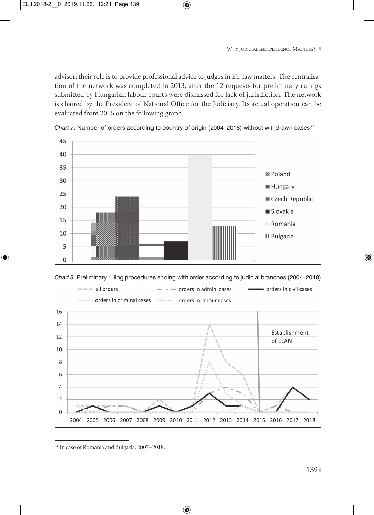advisor; their role is to provide professional advice to judges in EU law matters. The centralisa tion of the network was completed in 2013, after the 12 requests for preliminary rulings submitted by Hungarian labour courts were dismissed for lack of jurisdiction. The network is chaired by the President of National Office for the Judiciary. Its actual operation can be evaluated from 2015 on the following graph.





*Chart 8.* Preliminary ruling procedures ending with order according to judicial branches (2004—2018)



<sup>33</sup> In case of Romania and Bulgaria: 2007–2018.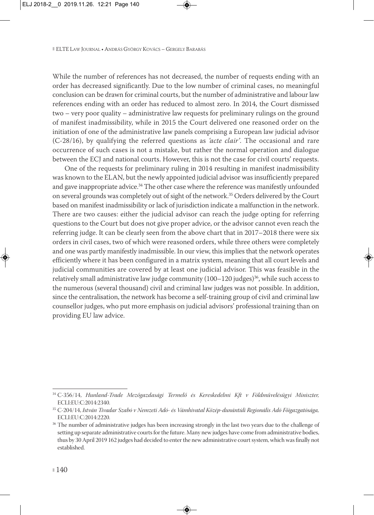While the number of references has not decreased, the number of requests ending with an order has decreased significantly. Due to the low number of criminal cases, no meaningful conclusion can be drawn for criminal courts, but the number of administrative and labour law references ending with an order has reduced to almost zero. In 2014, the Court dismissed two – very poor quality – administrative law requests for preliminary rulings on the ground of manifest inadmissibility, while in 2015 the Court delivered one reasoned order on the initiation of one of the administrative law panels comprising a European law judicial advisor (C-28/16), by qualifying the referred questions as *'acte clair'*. The occasional and rare occurrence of such cases is not a mistake, but rather the normal operation and dialogue between the ECJ and national courts. However, this is not the case for civil courts' requests.

One of the requests for preliminary ruling in 2014 resulting in manifest inadmissibility was known to the ELAN, but the newly appointed judicial advisor was insufficiently prepared and gave inappropriate advice.<sup>34</sup> The other case where the reference was manifestly unfounded on several grounds was completely out of sight of the network.35 Orders delivered by the Court based on manifest inadmissibility or lack of jurisdiction indicate a malfunction in the network. There are two causes: either the judicial advisor can reach the judge opting for referring questions to the Court but does not give proper advice, or the advisor cannot even reach the referring judge. It can be clearly seen from the above chart that in 2017–2018 there were six orders in civil cases, two of which were reasoned orders, while three others were completely and one was partly manifestly inadmissible. In our view, this implies that the network operates efficiently where it has been configured in a matrix system, meaning that all court levels and judicial communities are covered by at least one judicial advisor. This was feasible in the relatively small administrative law judge community  $(100-120)$  judges)<sup>36</sup>, while such access to the numerous (several thousand) civil and criminal law judges was not possible. In addition, since the centralisation, the network has become a self-training group of civil and criminal law counsellor judges, who put more emphasis on judicial advisors' professional training than on providing EU law advice.

<sup>34</sup> C-356/14, *Hunland-Trade Mezőgazdasági Termelő és Kereskedelmi Kft v Földművelésügyi Miniszter,* ECLI:EU:C:2014:2340.

<sup>35</sup> C-204/14, *István Tivadar Szabó v Nemzeti Adó- és Vámhivatal Közép-dunántúli Regionális Adó Főigazgatósága,* ECLI:EU:C:2014:2220.

<sup>&</sup>lt;sup>36</sup> The number of administrative judges has been increasing strongly in the last two years due to the challenge of setting up separate administrative courts for the future. Many new judges have come from administrative bodies, thus by 30 April 2019 162 judges had decided to enter the new administrative court system, which was finally not established.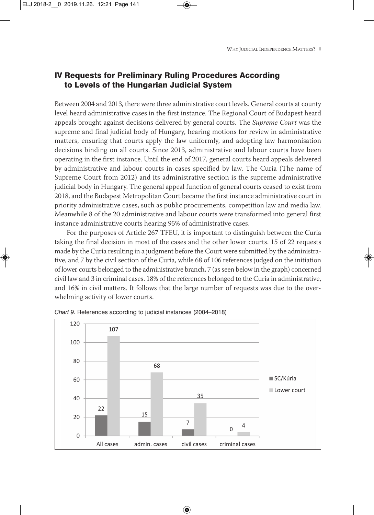## IV Requests for Preliminary Ruling Procedures According to Levels of the Hungarian Judicial System

Between 2004 and 2013, there were three administrative court levels. General courts at county level heard administrative cases in the first instance. The Regional Court of Budapest heard appeals brought against decisions delivered by general courts. The *Supreme Court* was the supreme and final judicial body of Hungary, hearing motions for review in administrative matters, ensuring that courts apply the law uniformly, and adopting law harmonisation decisions binding on all courts. Since 2013, administrative and labour courts have been operating in the first instance. Until the end of 2017, general courts heard appeals delivered by administrative and labour courts in cases specified by law. The Curia (The name of Supreme Court from 2012) and its administrative section is the supreme administrative judicial body in Hungary. The general appeal function of general courts ceased to exist from 2018, and the Budapest Metropolitan Court became the first instance administrative court in priority administrative cases, such as public procurements, competition law and media law. Meanwhile 8 of the 20 administrative and labour courts were transformed into general first instance administrative courts hearing 95% of administrative cases.

For the purposes of Article 267 TFEU, it is important to distinguish between the Curia taking the final decision in most of the cases and the other lower courts. 15 of 22 requests made by the Curia resulting in a judgment before the Court were submitted by the administrative, and 7 by the civil section of the Curia, while 68 of 106 references judged on the initiation of lower courts belonged to the administrative branch, 7 (as seen below in the graph) concerned civil law and 3 in criminal cases. 18% of the references belonged to the Curia in administrative, and 16% in civil matters. It follows that the large number of requests was due to the over whelming activity of lower courts.



*Chart 9.* References according to judicial instances (2004—2018)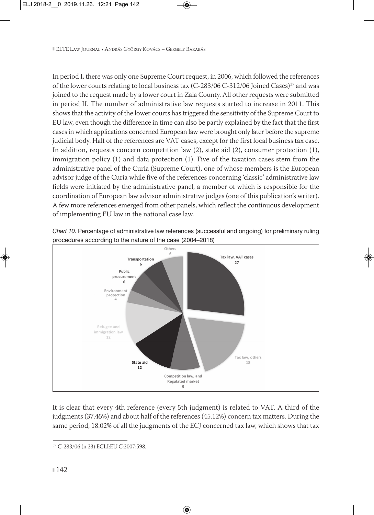In period I, there was only one Supreme Court request, in 2006, which followed the references of the lower courts relating to local business tax (C-283/06 C-312/06 Joined Cases)<sup>37</sup> and was joined to the request made by a lower court in Zala County. All other requests were submitted in period II. The number of administrative law requests started to increase in 2011. This shows that the activity of the lower courts has triggered the sensitivity of the Supreme Court to EU law, even though the difference in time can also be partly explained by the fact that the first cases in which applications concerned European law were brought only later before the supreme judicial body. Half of the references are VAT cases, except for the first local business tax case. In addition, requests concern competition law (2), state aid (2), consumer protection (1), immigration policy (1) and data protection (1). Five of the taxation cases stem from the administrative panel of the Curia (Supreme Court), one of whose members is the European advisor judge of the Curia while five of the references concerning 'classic' administrative law fields were initiated by the administrative panel, a member of which is responsible for the coordination of European law advisor administrative judges (one of this publication's writer). A few more references emerged from other panels, which reflect the continuous development of implementing EU law in the national case law.



*Chart 10.* Percentage of administrative law references (successful and ongoing) for preliminary ruling

It is clear that every 4th reference (every 5th judgment) is related to VAT. A third of the judgments (37.45%) and about half of the references (45.12%) concern tax matters. During the same period, 18.02% of all the judgments of the ECJ concerned tax law, which shows that tax

<sup>37</sup> C-283/06 (n 23) ECLI:EU:C:2007:598.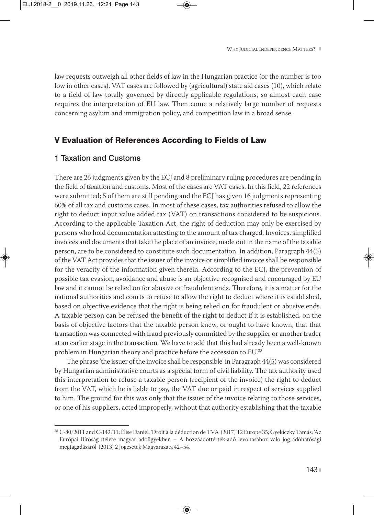law requests outweigh all other fields of law in the Hungarian practice (or the number is too low in other cases). VAT cases are followed by (agricultural) state aid cases (10), which relate to a field of law totally governed by directly applicable regulations, so almost each case requires the interpretation of EU law. Then come a relatively large number of requests concerning asylum and immigration policy, and competition law in a broad sense.

## V Evaluation of References According to Fields of Law

### 1 Taxation and Customs

There are 26 judgments given by the ECJ and 8 preliminary ruling procedures are pending in the field of taxation and customs. Most of the cases are VAT cases. In this field, 22 references were submitted; 5 of them are still pending and the ECJ has given 16 judgments representing 60% of all tax and customs cases. In most of these cases, tax authorities refused to allow the right to deduct input value added tax (VAT) on transactions considered to be suspicious. According to the applicable Taxation Act, the right of deduction may only be exercised by persons who hold documentation attesting to the amount of tax charged. Invoices, simplified invoices and documents that take the place of an invoice, made out in the name of the taxable person, are to be considered to constitute such documentation. In addition, Paragraph 44(5) of the VAT Act provides that the issuer of the invoice or simplified invoice shall be responsible for the veracity of the information given therein. According to the ECJ, the prevention of possible tax evasion, avoidance and abuse is an objective recognised and encouraged by EU law and it cannot be relied on for abusive or fraudulent ends. Therefore, it is a matter for the national authorities and courts to refuse to allow the right to deduct where it is established, based on objective evidence that the right is being relied on for fraudulent or abusive ends. A taxable person can be refused the benefit of the right to deduct if it is established, on the basis of objective factors that the taxable person knew, or ought to have known, that that transaction was connected with fraud previously committed by the supplier or another trader at an earlier stage in the transaction. We have to add that this had already been a well-known problem in Hungarian theory and practice before the accession to EU.38

The phrase 'the issuer of the invoice shall be responsible' in Paragraph 44(5) was considered by Hungarian administrative courts as a special form of civil liability. The tax authority used this interpretation to refuse a taxable person (recipient of the invoice) the right to deduct from the VAT, which he is liable to pay, the VAT due or paid in respect of services supplied to him. The ground for this was only that the issuer of the invoice relating to those services, or one of his suppliers, acted improperly, without that authority establishing that the taxable

<sup>38</sup> C-80/2011 and C-142/11; Élise Daniel, 'Droit à la déduction de TVA' (2017) 12 Europe 35; Gyekiczky Tamás, 'Az Európai Bíróság ítélete magyar adóügyekben – A hozzáadottérték-adó levonásához való jog adóhatósági megtagadásáról' (2013) 2 Jogesetek Magyarázata 42–54.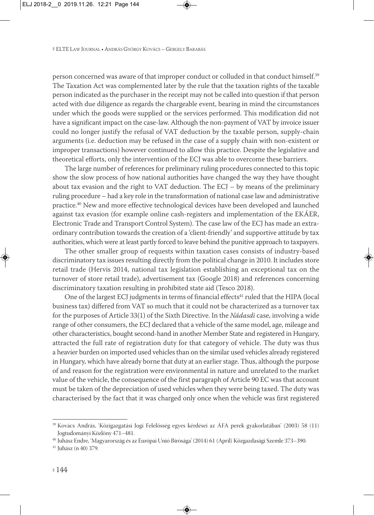person concerned was aware of that improper conduct or colluded in that conduct himself.39 The Taxation Act was complemented later by the rule that the taxation rights of the taxable person indicated as the purchaser in the receipt may not be called into question if that person acted with due diligence as regards the chargeable event, bearing in mind the circumstances under which the goods were supplied or the services performed. This modification did not have a significant impact on the case-law. Although the non-payment of VAT by invoice issuer could no longer justify the refusal of VAT deduction by the taxable person, supply-chain arguments (i.e. deduction may be refused in the case of a supply chain with non-existent or improper transactions) however continued to allow this practice. Despite the legislative and theoretical efforts, only the intervention of the ECJ was able to overcome these barriers.

The large number of references for preliminary ruling procedures connected to this topic show the slow process of how national authorities have changed the way they have thought about tax evasion and the right to VAT deduction. The  $ECJ - by$  means of the preliminary ruling procedure – had a key role in the transformation of national case law and administrative practice.40 New and more effective technological devices have been developed and launched against tax evasion (for example online cash-registers and implementation of the EKÁER, Electronic Trade and Transport Control System). The case law of the ECJ has made an extraordinary contribution towards the creation of a 'client-friendly' and supportive attitude by tax authorities, which were at least partly forced to leave behind the punitive approach to taxpayers.

The other smaller group of requests within taxation cases consists of industry-based discriminatory tax issues resulting directly from the political change in 2010. It includes store retail trade (Hervis 2014, national tax legislation establishing an exceptional tax on the turnover of store retail trade), advertisement tax (Google 2018) and references concerning discriminatory taxation resulting in prohibited state aid (Tesco 2018).

One of the largest ECJ judgments in terms of financial effects<sup>41</sup> ruled that the HIPA (local business tax) differed from VAT so much that it could not be characterized as a turnover tax for the purposes of Article 33(1) of the Sixth Directive. In the *Nádasdi* case, involving a wide range of other consumers, the ECJ declared that a vehicle of the same model, age, mileage and other characteristics, bought second-hand in another Member State and registered in Hungary, attracted the full rate of registration duty for that category of vehicle. The duty was thus a heavier burden on imported used vehicles than on the similar used vehicles already registered in Hungary, which have already borne that duty at an earlier stage. Thus, although the purpose of and reason for the registration were environmental in nature and unrelated to the market value of the vehicle, the consequence of the first paragraph of Article 90 EC was that account must be taken of the depreciation of used vehicles when they were being taxed. The duty was characterised by the fact that it was charged only once when the vehicle was first registered

<sup>39</sup> Kovács András, 'Közigazgatási Jogi Felelősség egyes kérdései az ÁFA perek gyakorlatában' (2003) 58 (11) Jogtudományi Közlöny 471–481.

<sup>40</sup> Juhász Endre, 'Magyarország és az Európai Unió Bírósága' (2014) 61 (April) Közgazdasági Szemle 373–390.

<sup>41</sup> Juhász (n 40) 379.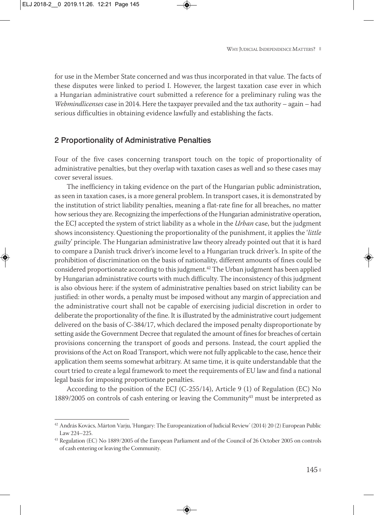for use in the Member State concerned and was thus incorporated in that value. The facts of these disputes were linked to period I. However, the largest taxation case ever in which a Hungarian administrative court submitted a reference for a preliminary ruling was the *Webmindlicenses* case in 2014. Here the taxpayer prevailed and the tax authority – again – had serious difficulties in obtaining evidence lawfully and establishing the facts.

#### 2 Proportionality of Administrative Penalties

Four of the five cases concerning transport touch on the topic of proportionality of administrative penalties, but they overlap with taxation cases as well and so these cases may cover several issues.

The inefficiency in taking evidence on the part of the Hungarian public administration, as seen in taxation cases, is a more general problem. In transport cases, it is demonstrated by the institution of strict liability penalties, meaning a flat-rate fine for all breaches, no matter how serious they are. Recognizing the imperfections of the Hungarian administrative operation, the ECJ accepted the system of strict liability as a whole in the *Urban* case, but the judgment shows inconsistency. Questioning the proportionality of the punishment, it applies the '*little guilty*' principle. The Hungarian administrative law theory already pointed out that it is hard to compare a Danish truck driver's income level to a Hungarian truck driver's. In spite of the prohibition of discrimination on the basis of nationality, different amounts of fines could be considered proportionate according to this judgment.42 The Urban judgment has been applied by Hungarian administrative courts with much difficulty. The inconsistency of this judgment is also obvious here: if the system of administrative penalties based on strict liability can be justified: in other words, a penalty must be imposed without any margin of appreciation and the administrative court shall not be capable of exercising judicial discretion in order to deliberate the proportionality of the fine. It is illustrated by the administrative court judgement delivered on the basis of C-384/17, which declared the imposed penalty disproportionate by setting aside the Government Decree that regulated the amount of fines for breaches of certain provisions concerning the transport of goods and persons. Instead, the court applied the provisions of the Act on Road Transport, which were not fully applicable to the case, hence their application them seems somewhat arbitrary. At same time, it is quite understandable that the court tried to create a legal framework to meet the requirements of EU law and find a national legal basis for imposing proportionate penalties.

According to the position of the ECJ (C-255/14), Article 9 (1) of Regulation (EC) No 1889/2005 on controls of cash entering or leaving the Community $43$  must be interpreted as

<sup>42</sup> András Kovács, Márton Varju, 'Hungary: The Europeanization of Judicial Review' (2014) 20 (2) European Public Law 224–225.

<sup>43</sup> Regulation (EC) No 1889/2005 of the European Parliament and of the Council of 26 October 2005 on controls of cash entering or leaving the Community.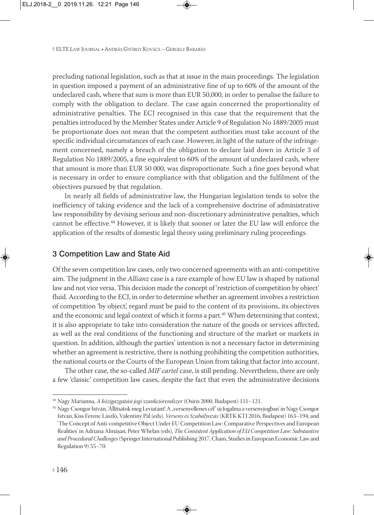precluding national legislation, such as that at issue in the main proceedings. The legislation in question imposed a payment of an administrative fine of up to 60% of the amount of the undeclared cash, where that sum is more than EUR 50,000, in order to penalise the failure to comply with the obligation to declare. The case again concerned the proportionality of administrative penalties. The ECJ recognised in this case that the requirement that the penalties introduced by the Member States under Article 9 of Regulation No 1889/2005 must be proportionate does not mean that the competent authorities must take account of the specific individual circumstances of each case. However, in light of the nature of the infringe ment concerned, namely a breach of the obligation to declare laid down in Article 3 of Regulation No 1889/2005, a fine equivalent to 60% of the amount of undeclared cash, where that amount is more than EUR 50 000, was disproportionate. Such a fine goes beyond what is necessary in order to ensure compliance with that obligation and the fulfilment of the objectives pursued by that regulation.

In nearly all fields of administrative law, the Hungarian legislation tends to solve the inefficiency of taking evidence and the lack of a comprehensive doctrine of administrative law responsibility by devising serious and non-discretionary administrative penalties, which cannot be effective.44 However, it is likely that sooner or later the EU law will enforce the application of the results of domestic legal theory using preliminary ruling proceedings.

### 3 Competition Law and State Aid

Of the seven competition law cases, only two concerned agreements with an anti-competitive aim. The judgment in the *Allianz* case is a rare example of how EU law is shaped by national law and not vice versa. This decision made the concept of 'restriction of competition by object' fluid. According to the ECJ, in order to determine whether an agreement involves a restriction of competition 'by object', regard must be paid to the content of its provisions, its objectives and the economic and legal context of which it forms a part.<sup>45</sup> When determining that context, it is also appropriate to take into consideration the nature of the goods or services affected, as well as the real conditions of the functioning and structure of the market or markets in question. In addition, although the parties' intention is not a necessary factor in determining whether an agreement is restrictive, there is nothing prohibiting the competition authorities, the national courts or the Courts of the European Union from taking that factor into account.

The other case, the so-called *MIF cartel* case, is still pending. Nevertheless, there are only a few 'classic' competition law cases, despite the fact that even the administrative decisions

<sup>44</sup> Nagy Marianna, *A közigazgatási jogi szankciórendszer* (Osiris 2000, Budapest) 111–121.

<sup>&</sup>lt;sup>45</sup> Nagy Csongor István, 'Állítsátok meg Leviatánt! A "versenyellenes cél" új fogalma a versenyjogban' in Nagy Csongor István, Kiss Ferenc László, Valentiny Pál (eds), *Verseny és Szabályozás* (KRTK KTI 2016, Budapest) 163–194; and 'The Concept of Anti-competitive Object Under EU Competition Law: Comparative Perspectives and European Realities' in Adriana Almășan, Peter Whelan (eds), *The Consistent Application of EU Competition Law: Substantive and Procedural Challenges*(Springer International Publishing 2017, Cham, Studies in European Economic Law and Regulation 9) 55–70.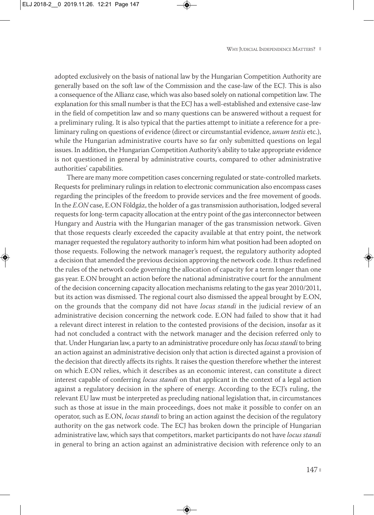adopted exclusively on the basis of national law by the Hungarian Competition Authority are generally based on the soft law of the Commission and the case-law of the ECJ. This is also a consequence of the Allianz case, which was also based solely on national competition law. The explanation for this small number is that the ECJ has a well-established and extensive case-law in the field of competition law and so many questions can be answered without a request for a preliminary ruling. It is also typical that the parties attempt to initiate a reference for a preliminary ruling on questions of evidence (direct or circumstantial evidence, *unum testis* etc.), while the Hungarian administrative courts have so far only submitted questions on legal issues. In addition, the Hungarian Competition Authority's ability to take appropriate evidence is not questioned in general by administrative courts, compared to other administrative authorities' capabilities.

There are many more competition cases concerning regulated or state-controlled markets. Requests for preliminary rulings in relation to electronic communication also encompass cases regarding the principles of the freedom to provide services and the free movement of goods. In the *E.ON* case, E.ON Földgáz, the holder of a gas transmission authorisation, lodged several requests for long-term capacity allocation at the entry point of the gas interconnector between Hungary and Austria with the Hungarian manager of the gas transmission network. Given that those requests clearly exceeded the capacity available at that entry point, the network manager requested the regulatory authority to inform him what position had been adopted on those requests. Following the network manager's request, the regulatory authority adopted a decision that amended the previous decision approving the network code. It thus redefined the rules of the network code governing the allocation of capacity for a term longer than one gas year. E.ON brought an action before the national administrative court for the annulment of the decision concerning capacity allocation mechanisms relating to the gas year 2010/2011, but its action was dismissed. The regional court also dismissed the appeal brought by E.ON, on the grounds that the company did not have *locus standi* in the judicial review of an administrative decision concerning the network code. E.ON had failed to show that it had a relevant direct interest in relation to the contested provisions of the decision, insofar as it had not concluded a contract with the network manager and the decision referred only to that. Under Hungarian law, a party to an administrative procedure only has *locus standi* to bring an action against an administrative decision only that action is directed against a provision of the decision that directly affects its rights. It raises the question therefore whether the interest on which E.ON relies, which it describes as an economic interest, can constitute a direct interest capable of conferring *locus standi* on that applicant in the context of a legal action against a regulatory decision in the sphere of energy. According to the ECJ's ruling, the relevant EU law must be interpreted as precluding national legislation that, in circumstances such as those at issue in the main proceedings, does not make it possible to confer on an operator, such as E.ON, *locus standi* to bring an action against the decision of the regulatory authority on the gas network code. The ECJ has broken down the principle of Hungarian administrative law, which says that competitors, market participants do not have *locus standi* in general to bring an action against an administrative decision with reference only to an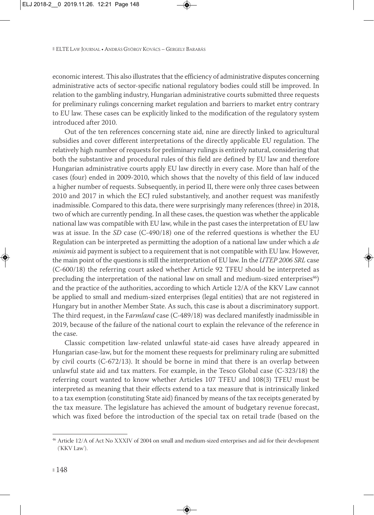economic interest. This also illustrates that the efficiency of administrative disputes concerning administrative acts of sector-specific national regulatory bodies could still be improved. In relation to the gambling industry, Hungarian administrative courts submitted three requests for preliminary rulings concerning market regulation and barriers to market entry contrary to EU law. These cases can be explicitly linked to the modification of the regulatory system introduced after 2010.

Out of the ten references concerning state aid, nine are directly linked to agricultural subsidies and cover different interpretations of the directly applicable EU regulation. The relatively high number of requests for preliminary rulings is entirely natural, considering that both the substantive and procedural rules of this field are defined by EU law and therefore Hungarian administrative courts apply EU law directly in every case. More than half of the cases (four) ended in 2009-2010, which shows that the novelty of this field of law induced a higher number of requests. Subsequently, in period II, there were only three cases between 2010 and 2017 in which the ECJ ruled substantively, and another request was manifestly inadmissible. Compared to this data, there were surprisingly many references (three) in 2018, two of which are currently pending. In all these cases, the question was whether the applicable national law was compatible with EU law, while in the past cases the interpretation of EU law was at issue. In the *SD* case (C-490/18) one of the referred questions is whether the EU Regulation can be interpreted as permitting the adoption of a national law under which a *de minimis* aid payment is subject to a requirement that is not compatible with EU law. However, the main point of the questions is still the interpretation of EU law. In the *UTEP 2006 SRL* case (C-600/18) the referring court asked whether Article 92 TFEU should be interpreted as precluding the interpretation of the national law on small and medium-sized enterprises<sup>46</sup>) and the practice of the authorities, according to which Article 12/A of the KKV Law cannot be applied to small and medium-sized enterprises (legal entities) that are not registered in Hungary but in another Member State. As such, this case is about a discriminatory support. The third request, in the F*armland* case (C-489/18) was declared manifestly inadmissible in 2019, because of the failure of the national court to explain the relevance of the reference in the case.

Classic competition law-related unlawful state-aid cases have already appeared in Hungarian case-law, but for the moment these requests for preliminary ruling are submitted by civil courts (C-672/13). It should be borne in mind that there is an overlap between unlawful state aid and tax matters. For example, in the Tesco Global case (C-323/18) the referring court wanted to know whether Articles 107 TFEU and 108(3) TFEU must be interpreted as meaning that their effects extend to a tax measure that is intrinsically linked to a tax exemption (constituting State aid) financed by means of the tax receipts generated by the tax measure. The legislature has achieved the amount of budgetary revenue forecast, which was fixed before the introduction of the special tax on retail trade (based on the

<sup>&</sup>lt;sup>46</sup> Article 12/A of Act No XXXIV of 2004 on small and medium-sized enterprises and aid for their development ('KKV Law').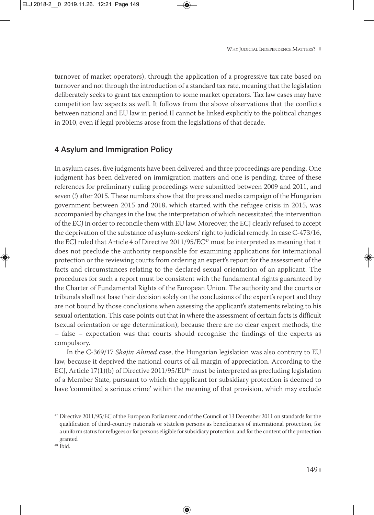turnover of market operators), through the application of a progressive tax rate based on turnover and not through the introduction of a standard tax rate, meaning that the legislation deliberately seeks to grant tax exemption to some market operators. Tax law cases may have competition law aspects as well. It follows from the above observations that the conflicts between national and EU law in period II cannot be linked explicitly to the political changes in 2010, even if legal problems arose from the legislations of that decade.

## 4 Asylum and Immigration Policy

In asylum cases, five judgments have been delivered and three proceedings are pending. One judgment has been delivered on immigration matters and one is pending. three of these references for preliminary ruling proceedings were submitted between 2009 and 2011, and seven (!) after 2015. These numbers show that the press and media campaign of the Hungarian government between 2015 and 2018, which started with the refugee crisis in 2015, was accompanied by changes in the law, the interpretation of which necessitated the intervention of the ECJ in order to reconcile them with EU law. Moreover, the ECJ clearly refused to accept the deprivation of the substance of asylum-seekers' right to judicial remedy. In case C-473/16, the ECJ ruled that Article 4 of Directive  $2011/95/EC^{47}$  must be interpreted as meaning that it does not preclude the authority responsible for examining applications for international protection or the reviewing courts from ordering an expert's report for the assessment of the facts and circumstances relating to the declared sexual orientation of an applicant. The procedures for such a report must be consistent with the fundamental rights guaranteed by the Charter of Fundamental Rights of the European Union. The authority and the courts or tribunals shall not base their decision solely on the conclusions of the expert's report and they are not bound by those conclusions when assessing the applicant's statements relating to his sexual orientation. This case points out that in where the assessment of certain facts is difficult (sexual orientation or age determination), because there are no clear expert methods, the – false – expectation was that courts should recognise the findings of the experts as compulsory.

In the C-369/17 *Shajin Ahmed* case, the Hungarian legislation was also contrary to EU law, because it deprived the national courts of all margin of appreciation. According to the ECJ, Article 17(1)(b) of Directive 2011/95/EU<sup>48</sup> must be interpreted as precluding legislation of a Member State, pursuant to which the applicant for subsidiary protection is deemed to have 'committed a serious crime' within the meaning of that provision, which may exclude

 $47$  Directive 2011/95/EC of the European Parliament and of the Council of 13 December 2011 on standards for the qualification of third-country nationals or stateless persons as beneficiaries of international protection, for a uniform status for refugees or for persons eligible for subsidiary protection, and for the content of the protection granted

 $48$  Ibid.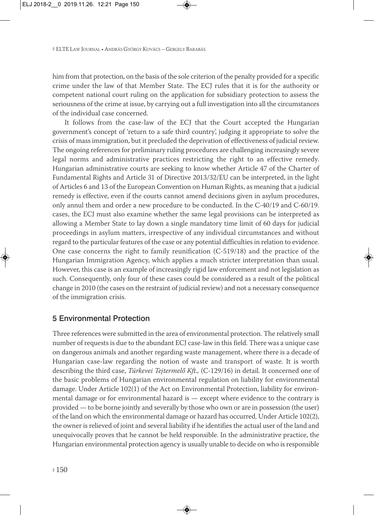him from that protection, on the basis of the sole criterion of the penalty provided for a specific crime under the law of that Member State. The ECJ rules that it is for the authority or competent national court ruling on the application for subsidiary protection to assess the seriousness of the crime at issue, by carrying out a full investigation into all the circumstances of the individual case concerned.

It follows from the case-law of the ECJ that the Court accepted the Hungarian government's concept of 'return to a safe third country', judging it appropriate to solve the crisis of mass immigration, but it precluded the deprivation of effectiveness of judicial review. The ongoing references for preliminary ruling procedures are challenging increasingly severe legal norms and administrative practices restricting the right to an effective remedy. Hungarian administrative courts are seeking to know whether Article 47 of the Charter of Fundamental Rights and Article 31 of Directive 2013/32/EU can be interpreted, in the light of Articles 6 and 13 of the European Convention on Human Rights, as meaning that a judicial remedy is effective, even if the courts cannot amend decisions given in asylum procedures, only annul them and order a new procedure to be conducted. In the C-40/19 and C-60/19. cases, the ECJ must also examine whether the same legal provisions can be interpreted as allowing a Member State to lay down a single mandatory time limit of 60 days for judicial proceedings in asylum matters, irrespective of any individual circumstances and without regard to the particular features of the case or any potential difficulties in relation to evidence. One case concerns the right to family reunification (C-519/18) and the practice of the Hungarian Immigration Agency, which applies a much stricter interpretation than usual. However, this case is an example of increasingly rigid law enforcement and not legislation as such. Consequently, only four of these cases could be considered as a result of the political change in 2010 (the cases on the restraint of judicial review) and not a necessary consequence of the immigration crisis.

## 5 Environmental Protection

Three references were submitted in the area of environmental protection. The relatively small number of requests is due to the abundant ECJ case-law in this field. There was a unique case on dangerous animals and another regarding waste management, where there is a decade of Hungarian case-law regarding the notion of waste and transport of waste. It is worth describing the third case, *Túrkevei Tejtermelő Kft.,* (C-129/16) in detail. It concerned one of the basic problems of Hungarian environmental regulation on liability for environmental damage. Under Article 102(1) of the Act on Environmental Protection, liability for environmental damage or for environmental hazard is — except where evidence to the contrary is provided — to be borne jointly and severally by those who own or are in possession (the user) of the land on which the environmental damage or hazard has occurred. Under Article 102(2), the owner is relieved of joint and several liability if he identifies the actual user of the land and unequivocally proves that he cannot be held responsible. In the administrative practice, the Hungarian environmental protection agency is usually unable to decide on who is responsible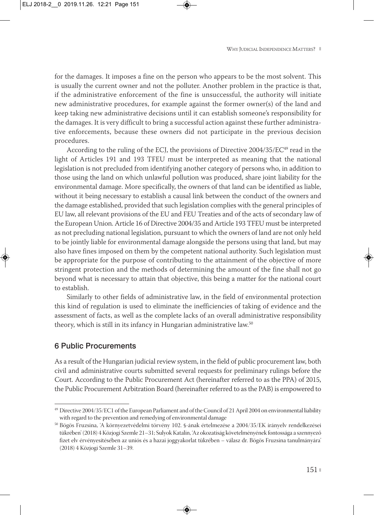for the damages. It imposes a fine on the person who appears to be the most solvent. This is usually the current owner and not the polluter. Another problem in the practice is that, if the administrative enforcement of the fine is unsuccessful, the authority will initiate new administrative procedures, for example against the former owner(s) of the land and keep taking new administrative decisions until it can establish someone's responsibility for the damages. It is very difficult to bring a successful action against these further administra tive enforcements, because these owners did not participate in the previous decision procedures.

According to the ruling of the ECJ, the provisions of Directive  $2004/35/EC^{49}$  read in the light of Articles 191 and 193 TFEU must be interpreted as meaning that the national legislation is not precluded from identifying another category of persons who, in addition to those using the land on which unlawful pollution was produced, share joint liability for the environmental damage. More specifically, the owners of that land can be identified as liable, without it being necessary to establish a causal link between the conduct of the owners and the damage established, provided that such legislation complies with the general principles of EU law, all relevant provisions of the EU and FEU Treaties and of the acts of secondary law of the European Union. Article 16 of Directive 2004/35 and Article 193 TFEU must be interpreted as not precluding national legislation, pursuant to which the owners of land are not only held to be jointly liable for environmental damage alongside the persons using that land, but may also have fines imposed on them by the competent national authority. Such legislation must be appropriate for the purpose of contributing to the attainment of the objective of more stringent protection and the methods of determining the amount of the fine shall not go beyond what is necessary to attain that objective, this being a matter for the national court to establish.

Similarly to other fields of administrative law, in the field of environmental protection this kind of regulation is used to eliminate the inefficiencies of taking of evidence and the assessment of facts, as well as the complete lacks of an overall administrative responsibility theory, which is still in its infancy in Hungarian administrative law.<sup>50</sup>

### 6 Public Procurements

As a result of the Hungarian judicial review system, in the field of public procurement law, both civil and administrative courts submitted several requests for preliminary rulings before the Court. According to the Public Procurement Act (hereinafter referred to as the PPA) of 2015, the Public Procurement Arbitration Board (hereinafter referred to as the PAB) is empowered to

<sup>49</sup> Directive 2004/35/EC1 of the European Parliament and of the Council of 21 April 2004 on environmental liability with regard to the prevention and remedying of environmental damage

<sup>50</sup> Bögös Fruzsina, 'A környezetvédelmi törvény 102. §-ának értelmezése a 2004/35/EK irányelv rendelkezései tükrében' (2018) 4 Közjogi Szemle 21–31; Sulyok Katalin, 'Az okozatiság követelményének fontossága a szennyező fizet elv érvényesítésében az uniós és a hazai joggyakorlat tükrében – válasz dr. Bögös Fruzsina tanulmányára' (2018) 4 Közjogi Szemle 31–39.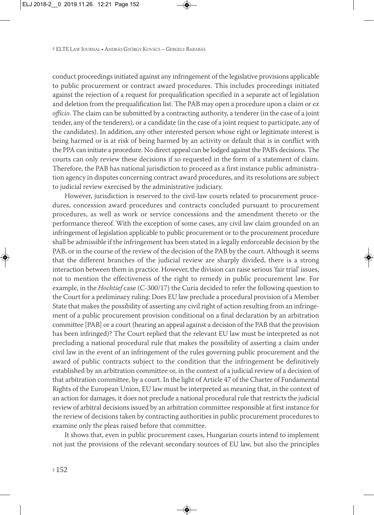conduct proceedings initiated against any infringement of the legislative provisions applicable to public procurement or contract award procedures. This includes proceedings initiated against the rejection of a request for prequalification specified in a separate act of legislation and deletion from the prequalification list. The PAB may open a procedure upon a claim or *ex officio*. The claim can be submitted by a contracting authority, a tenderer (in the case of a joint tender, any of the tenderers), or a candidate (in the case of a joint request to participate, any of the candidates). In addition, any other interested person whose right or legitimate interest is being harmed or is at risk of being harmed by an activity or default that is in conflict with the PPA can initiate a procedure. No direct appeal can be lodged against the PAB's decisions. The courts can only review these decisions if so requested in the form of a statement of claim. Therefore, the PAB has national jurisdiction to proceed as a first instance public administra tion agency in disputes concerning contract award procedures, and its resolutions are subject to judicial review exercised by the administrative judiciary.

However, jurisdiction is reserved to the civil-law courts related to procurement proce dures, concession award procedures and contracts concluded pursuant to procurement procedures, as well as work or service concessions and the amendment thereto or the performance thereof. With the exception of some cases, any civil law claim grounded on an infringement of legislation applicable to public procurement or to the procurement procedure shall be admissible if the infringement has been stated in a legally enforceable decision by the PAB, or in the course of the review of the decision of the PAB by the court. Although it seems that the different branches of the judicial review are sharply divided, there is a strong interaction between them in practice. However, the division can raise serious 'fair trial' issues, not to mention the effectiveness of the right to remedy in public procurement law. For example, in the *Hochtief* case (C-300/17) the Curia decided to refer the following question to the Court for a preliminary ruling: Does EU law preclude a procedural provision of a Member State that makes the possibility of asserting any civil right of action resulting from an infringe ment of a public procurement provision conditional on a final declaration by an arbitration committee [PAB] or a court (hearing an appeal against a decision of the PAB that the provision has been infringed)? The Court replied that the relevant EU law must be interpreted as not precluding a national procedural rule that makes the possibility of asserting a claim under civil law in the event of an infringement of the rules governing public procurement and the award of public contracts subject to the condition that the infringement be definitively established by an arbitration committee or, in the context of a judicial review of a decision of that arbitration committee, by a court. In the light of Article 47 of the Charter of Fundamental Rights of the European Union, EU law must be interpreted as meaning that, in the context of an action for damages, it does not preclude a national procedural rule that restricts the judicial review of arbitral decisions issued by an arbitration committee responsible at first instance for the review of decisions taken by contracting authorities in public procurement procedures to examine only the pleas raised before that committee.

It shows that, even in public procurement cases, Hungarian courts intend to implement not just the provisions of the relevant secondary sources of EU law, but also the principles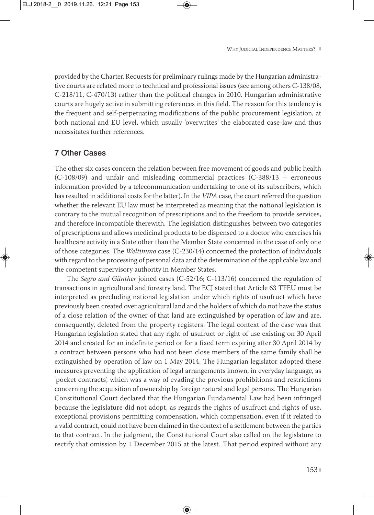provided by the Charter. Requests for preliminary rulings made by the Hungarian administra tive courts are related more to technical and professional issues (see among others C-138/08, C-218/11, C-470/13) rather than the political changes in 2010. Hungarian administrative courts are hugely active in submitting references in this field. The reason for this tendency is the frequent and self-perpetuating modifications of the public procurement legislation, at both national and EU level, which usually 'overwrites' the elaborated case-law and thus necessitates further references.

#### 7 Other Cases

The other six cases concern the relation between free movement of goods and public health (C-108/09) and unfair and misleading commercial practices (C-388/13 – erroneous information provided by a telecommunication undertaking to one of its subscribers, which has resulted in additional costs for the latter). In the *VIPA* case, the court referred the question whether the relevant EU law must be interpreted as meaning that the national legislation is contrary to the mutual recognition of prescriptions and to the freedom to provide services, and therefore incompatible therewith. The legislation distinguishes between two categories of prescriptions and allows medicinal products to be dispensed to a doctor who exercises his healthcare activity in a State other than the Member State concerned in the case of only one of those categories. The *Weltimmo* case (C-230/14) concerned the protection of individuals with regard to the processing of personal data and the determination of the applicable law and the competent supervisory authority in Member States.

The *Segro and Günther* joined cases (C-52/16; C-113/16) concerned the regulation of transactions in agricultural and forestry land. The ECJ stated that Article 63 TFEU must be interpreted as precluding national legislation under which rights of usufruct which have previously been created over agricultural land and the holders of which do not have the status of a close relation of the owner of that land are extinguished by operation of law and are, consequently, deleted from the property registers. The legal context of the case was that Hungarian legislation stated that any right of usufruct or right of use existing on 30 April 2014 and created for an indefinite period or for a fixed term expiring after 30 April 2014 by a contract between persons who had not been close members of the same family shall be extinguished by operation of law on 1 May 2014. The Hungarian legislator adopted these measures preventing the application of legal arrangements known, in everyday language, as 'pocket contracts', which was a way of evading the previous prohibitions and restrictions concerning the acquisition of ownership by foreign natural and legal persons. The Hungarian Constitutional Court declared that the Hungarian Fundamental Law had been infringed because the legislature did not adopt, as regards the rights of usufruct and rights of use, exceptional provisions permitting compensation, which compensation, even if it related to a valid contract, could not have been claimed in the context of a settlement between the parties to that contract. In the judgment, the Constitutional Court also called on the legislature to rectify that omission by 1 December 2015 at the latest. That period expired without any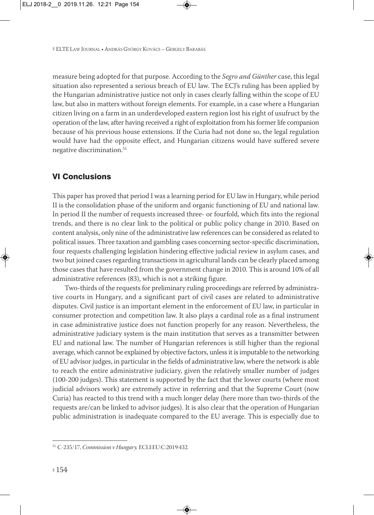measure being adopted for that purpose. According to the *Segro and Günther* case, this legal situation also represented a serious breach of EU law. The ECJ's ruling has been applied by the Hungarian administrative justice not only in cases clearly falling within the scope of EU law, but also in matters without foreign elements. For example, in a case where a Hungarian citizen living on a farm in an underdeveloped eastern region lost his right of usufruct by the operation of the law, after having received a right of exploitation from his former life companion because of his previous house extensions. If the Curia had not done so, the legal regulation would have had the opposite effect, and Hungarian citizens would have suffered severe negative discrimination.<sup>51</sup>

# VI Conclusions

This paper has proved that period I was a learning period for EU law in Hungary, while period II is the consolidation phase of the uniform and organic functioning of EU and national law. In period II the number of requests increased three- or fourfold, which fits into the regional trends, and there is no clear link to the political or public policy change in 2010. Based on content analysis, only nine of the administrative law references can be considered as related to political issues. Three taxation and gambling cases concerning sector-specific discrimination, four requests challenging legislation hindering effective judicial review in asylum cases, and two but joined cases regarding transactions in agricultural lands can be clearly placed among those cases that have resulted from the government change in 2010. This is around 10% of all administrative references (83), which is not a striking figure.

Two-thirds of the requests for preliminary ruling proceedings are referred by administra tive courts in Hungary, and a significant part of civil cases are related to administrative disputes. Civil justice is an important element in the enforcement of EU law, in particular in consumer protection and competition law. It also plays a cardinal role as a final instrument in case administrative justice does not function properly for any reason. Nevertheless, the administrative judiciary system is the main institution that serves as a transmitter between EU and national law. The number of Hungarian references is still higher than the regional average, which cannot be explained by objective factors, unless it is imputable to the networking of EU advisor judges, in particular in the fields of administrative law, where the network is able to reach the entire administrative judiciary, given the relatively smaller number of judges (100-200 judges). This statement is supported by the fact that the lower courts (where most judicial advisors work) are extremely active in referring and that the Supreme Court (now Curia) has reacted to this trend with a much longer delay (here more than two-thirds of the requests are/can be linked to advisor judges). It is also clear that the operation of Hungarian public administration is inadequate compared to the EU average. This is especially due to

<sup>51</sup> C-235/17, *Commission v Hungary,* ECLI:EU:C:2019:432.